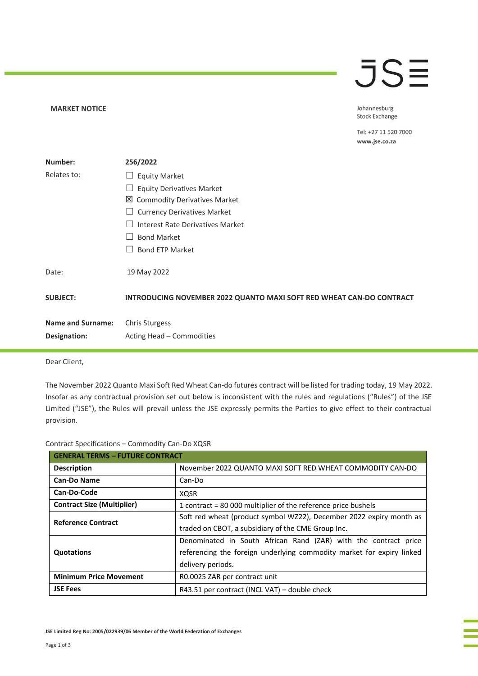## **JSE**

Johannesburg Stock Exchange

Tel: +27 11 520 7000 www.jse.co.za

| Number:                  | 256/2022                                                                    |
|--------------------------|-----------------------------------------------------------------------------|
| Relates to:              | <b>Equity Market</b><br>ப                                                   |
|                          | <b>Equity Derivatives Market</b>                                            |
|                          | ⊠<br><b>Commodity Derivatives Market</b>                                    |
|                          | <b>Currency Derivatives Market</b>                                          |
|                          | Interest Rate Derivatives Market                                            |
|                          | <b>Bond Market</b>                                                          |
|                          | <b>Bond ETP Market</b>                                                      |
| Date:                    | 19 May 2022                                                                 |
| <b>SUBJECT:</b>          | <b>INTRODUCING NOVEMBER 2022 QUANTO MAXI SOFT RED WHEAT CAN-DO CONTRACT</b> |
| <b>Name and Surname:</b> | <b>Chris Sturgess</b>                                                       |
| Designation:             | Acting Head – Commodities                                                   |

Dear Client,

**MARKET NOTICE** 

The November 2022 Quanto Maxi Soft Red Wheat Can-do futures contract will be listed for trading today, 19 May 2022. Insofar as any contractual provision set out below is inconsistent with the rules and regulations ("Rules") of the JSE Limited ("JSE"), the Rules will prevail unless the JSE expressly permits the Parties to give effect to their contractual provision.

|  | Contract Specifications - Commodity Can-Do XQSR |  |  |
|--|-------------------------------------------------|--|--|
|--|-------------------------------------------------|--|--|

| <b>GENERAL TERMS - FUTURE CONTRACT</b> |                                                                       |  |
|----------------------------------------|-----------------------------------------------------------------------|--|
| <b>Description</b>                     | November 2022 QUANTO MAXI SOFT RED WHEAT COMMODITY CAN-DO             |  |
| <b>Can-Do Name</b>                     | Can-Do                                                                |  |
| Can-Do-Code                            | <b>XQSR</b>                                                           |  |
| <b>Contract Size (Multiplier)</b>      | 1 contract = 80 000 multiplier of the reference price bushels         |  |
| <b>Reference Contract</b>              | Soft red wheat (product symbol WZ22), December 2022 expiry month as   |  |
|                                        | traded on CBOT, a subsidiary of the CME Group Inc.                    |  |
|                                        | Denominated in South African Rand (ZAR) with the contract price       |  |
| Quotations                             | referencing the foreign underlying commodity market for expiry linked |  |
|                                        | delivery periods.                                                     |  |
| <b>Minimum Price Movement</b>          | R0.0025 ZAR per contract unit                                         |  |
| <b>JSE Fees</b>                        | R43.51 per contract (INCL VAT) – double check                         |  |

**JSE Limited Reg No: 2005/022939/06 Member of the World Federation of Exchanges**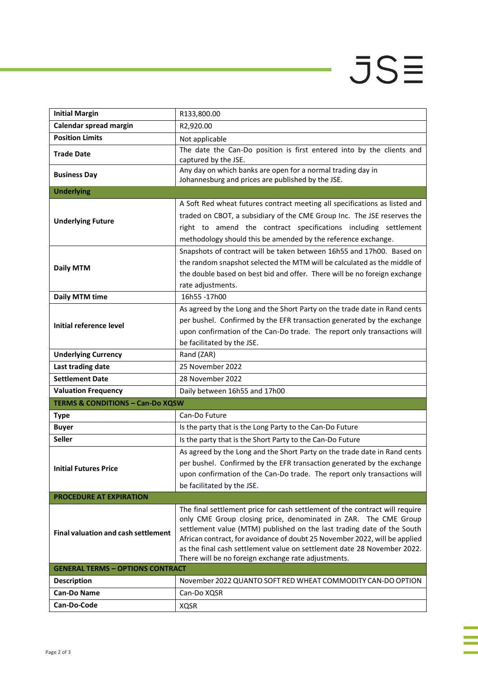## $JS\equiv$

i<br>I

j.

| <b>Initial Margin</b>                       | R133,800.00                                                                                                                                                                                                                                                                                                                                                                                                                              |  |  |  |
|---------------------------------------------|------------------------------------------------------------------------------------------------------------------------------------------------------------------------------------------------------------------------------------------------------------------------------------------------------------------------------------------------------------------------------------------------------------------------------------------|--|--|--|
| Calendar spread margin                      | R2,920.00                                                                                                                                                                                                                                                                                                                                                                                                                                |  |  |  |
| <b>Position Limits</b>                      | Not applicable                                                                                                                                                                                                                                                                                                                                                                                                                           |  |  |  |
| <b>Trade Date</b>                           | The date the Can-Do position is first entered into by the clients and<br>captured by the JSE.                                                                                                                                                                                                                                                                                                                                            |  |  |  |
| <b>Business Day</b>                         | Any day on which banks are open for a normal trading day in<br>Johannesburg and prices are published by the JSE.                                                                                                                                                                                                                                                                                                                         |  |  |  |
| <b>Underlying</b>                           |                                                                                                                                                                                                                                                                                                                                                                                                                                          |  |  |  |
| <b>Underlying Future</b>                    | A Soft Red wheat futures contract meeting all specifications as listed and<br>traded on CBOT, a subsidiary of the CME Group Inc. The JSE reserves the<br>right to amend the contract specifications including settlement<br>methodology should this be amended by the reference exchange.                                                                                                                                                |  |  |  |
| <b>Daily MTM</b>                            | Snapshots of contract will be taken between 16h55 and 17h00. Based on<br>the random snapshot selected the MTM will be calculated as the middle of<br>the double based on best bid and offer. There will be no foreign exchange<br>rate adjustments.                                                                                                                                                                                      |  |  |  |
| <b>Daily MTM time</b>                       | 16h55-17h00                                                                                                                                                                                                                                                                                                                                                                                                                              |  |  |  |
| Initial reference level                     | As agreed by the Long and the Short Party on the trade date in Rand cents<br>per bushel. Confirmed by the EFR transaction generated by the exchange<br>upon confirmation of the Can-Do trade. The report only transactions will<br>be facilitated by the JSE.                                                                                                                                                                            |  |  |  |
| <b>Underlying Currency</b>                  | Rand (ZAR)                                                                                                                                                                                                                                                                                                                                                                                                                               |  |  |  |
| Last trading date                           | 25 November 2022                                                                                                                                                                                                                                                                                                                                                                                                                         |  |  |  |
| <b>Settlement Date</b>                      | 28 November 2022                                                                                                                                                                                                                                                                                                                                                                                                                         |  |  |  |
| <b>Valuation Frequency</b>                  | Daily between 16h55 and 17h00                                                                                                                                                                                                                                                                                                                                                                                                            |  |  |  |
| <b>TERMS &amp; CONDITIONS - Can-Do XQSW</b> |                                                                                                                                                                                                                                                                                                                                                                                                                                          |  |  |  |
| <b>Type</b>                                 | Can-Do Future                                                                                                                                                                                                                                                                                                                                                                                                                            |  |  |  |
| <b>Buyer</b>                                | Is the party that is the Long Party to the Can-Do Future                                                                                                                                                                                                                                                                                                                                                                                 |  |  |  |
| <b>Seller</b>                               | Is the party that is the Short Party to the Can-Do Future                                                                                                                                                                                                                                                                                                                                                                                |  |  |  |
| <b>Initial Futures Price</b>                | As agreed by the Long and the Short Party on the trade date in Rand cents<br>per bushel. Confirmed by the EFR transaction generated by the exchange<br>upon confirmation of the Can-Do trade. The report only transactions will<br>be facilitated by the JSE.                                                                                                                                                                            |  |  |  |
| <b>PROCEDURE AT EXPIRATION</b>              |                                                                                                                                                                                                                                                                                                                                                                                                                                          |  |  |  |
| <b>Final valuation and cash settlement</b>  | The final settlement price for cash settlement of the contract will require<br>only CME Group closing price, denominated in ZAR. The CME Group<br>settlement value (MTM) published on the last trading date of the South<br>African contract, for avoidance of doubt 25 November 2022, will be applied<br>as the final cash settlement value on settlement date 28 November 2022.<br>There will be no foreign exchange rate adjustments. |  |  |  |
| <b>GENERAL TERMS - OPTIONS CONTRACT</b>     |                                                                                                                                                                                                                                                                                                                                                                                                                                          |  |  |  |
| <b>Description</b>                          | November 2022 QUANTO SOFT RED WHEAT COMMODITY CAN-DO OPTION                                                                                                                                                                                                                                                                                                                                                                              |  |  |  |
| <b>Can-Do Name</b>                          | Can-Do XQSR                                                                                                                                                                                                                                                                                                                                                                                                                              |  |  |  |
| Can-Do-Code                                 | <b>XQSR</b>                                                                                                                                                                                                                                                                                                                                                                                                                              |  |  |  |